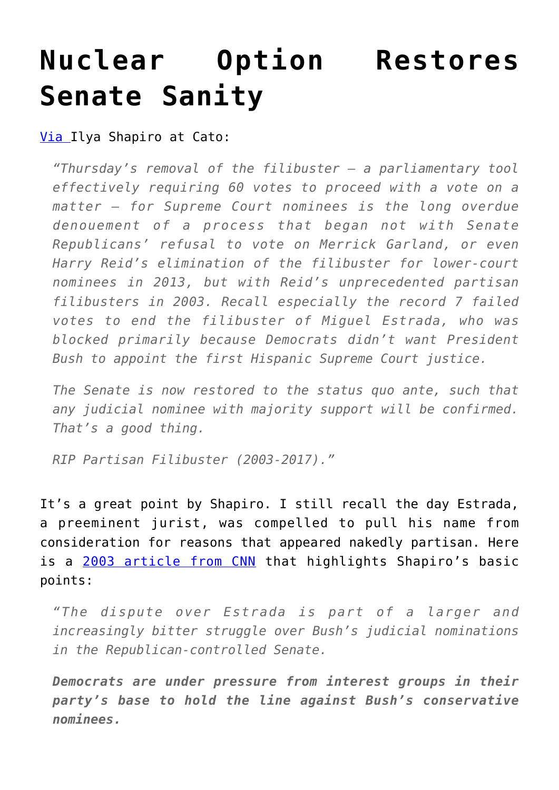## **[Nuclear Option Restores](https://intellectualtakeout.org/2017/04/nuclear-option-restores-senate-sanity/) [Senate Sanity](https://intellectualtakeout.org/2017/04/nuclear-option-restores-senate-sanity/)**

## [Via](https://www.cato.org/blog/nuclear-option-restores-senate-normalcy) Ilya Shapiro at Cato:

*"Thursday's removal of the filibuster – a parliamentary tool effectively requiring 60 votes to proceed with a vote on a matter – for Supreme Court nominees is the long overdue denouement of a process that began not with Senate Republicans' refusal to vote on Merrick Garland, or even Harry Reid's elimination of the filibuster for lower-court nominees in 2013, but with Reid's unprecedented partisan filibusters in 2003. Recall especially the record 7 failed votes to end the filibuster of Miguel Estrada, who was blocked primarily because Democrats didn't want President Bush to appoint the first Hispanic Supreme Court justice.*

*The Senate is now restored to the status quo ante, such that any judicial nominee with majority support will be confirmed. That's a good thing.*

*RIP Partisan Filibuster (2003-2017)."*

It's a great point by Shapiro. I still recall the day Estrada, a preeminent jurist, was compelled to pull his name from consideration for reasons that appeared nakedly partisan. Here is a [2003 article from CNN](http://www.cnn.com/2003/ALLPOLITICS/09/04/estrada.withdraws/) that highlights Shapiro's basic points:

*"The dispute over Estrada is part of a larger and increasingly bitter struggle over Bush's judicial nominations in the Republican-controlled Senate.*

*Democrats are under pressure from interest groups in their party's base to hold the line against Bush's conservative nominees.*